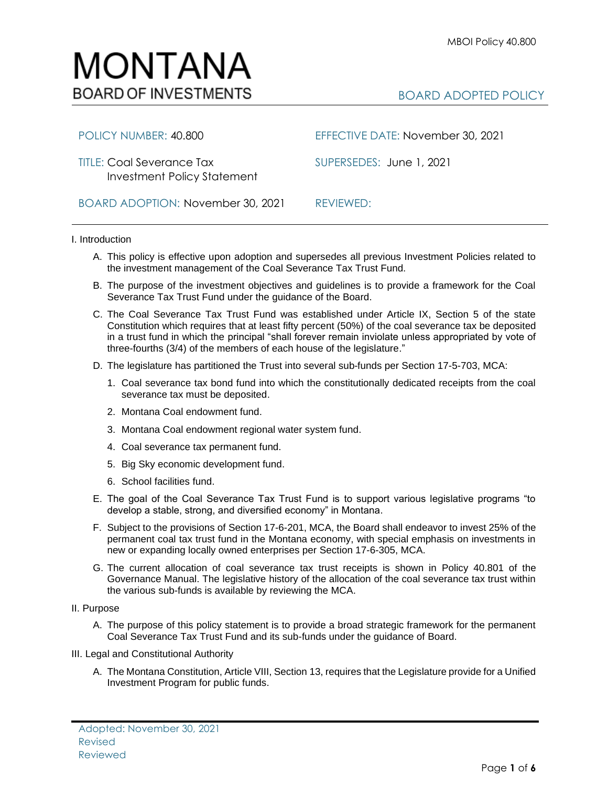# MONTANA **BOARD OF INVESTMENTS**

TITLE: Coal Severance Tax SUPERSEDES:June 1, 2021 Investment Policy Statement

BOARD ADOPTION: November 30, 2021REVIEWED:

POLICY NUMBER: 40.800 EFFECTIVE DATE: November 30, 2021

## I. Introduction

- A. This policy is effective upon adoption and supersedes all previous Investment Policies related to the investment management of the Coal Severance Tax Trust Fund.
- B. The purpose of the investment objectives and guidelines is to provide a framework for the Coal Severance Tax Trust Fund under the guidance of the Board.
- C. The Coal Severance Tax Trust Fund was established under Article IX, Section 5 of the state Constitution which requires that at least fifty percent (50%) of the coal severance tax be deposited in a trust fund in which the principal "shall forever remain inviolate unless appropriated by vote of three-fourths (3/4) of the members of each house of the legislature."
- D. The legislature has partitioned the Trust into several sub-funds per Section 17-5-703, MCA:
	- 1. Coal severance tax bond fund into which the constitutionally dedicated receipts from the coal severance tax must be deposited.
	- 2. Montana Coal endowment fund.
	- 3. Montana Coal endowment regional water system fund.
	- 4. Coal severance tax permanent fund.
	- 5. Big Sky economic development fund.
	- 6. School facilities fund.
- E. The goal of the Coal Severance Tax Trust Fund is to support various legislative programs "to develop a stable, strong, and diversified economy" in Montana.
- F. Subject to the provisions of Section 17-6-201, MCA, the Board shall endeavor to invest 25% of the permanent coal tax trust fund in the Montana economy, with special emphasis on investments in new or expanding locally owned enterprises per Section 17-6-305, MCA.
- G. The current allocation of coal severance tax trust receipts is shown in Policy 40.801 of the Governance Manual. The legislative history of the allocation of the coal severance tax trust within the various sub-funds is available by reviewing the MCA.

## II. Purpose

- A. The purpose of this policy statement is to provide a broad strategic framework for the permanent Coal Severance Tax Trust Fund and its sub-funds under the guidance of Board.
- III. Legal and Constitutional Authority
	- A. The Montana Constitution, Article VIII, Section 13, requires that the Legislature provide for a Unified Investment Program for public funds.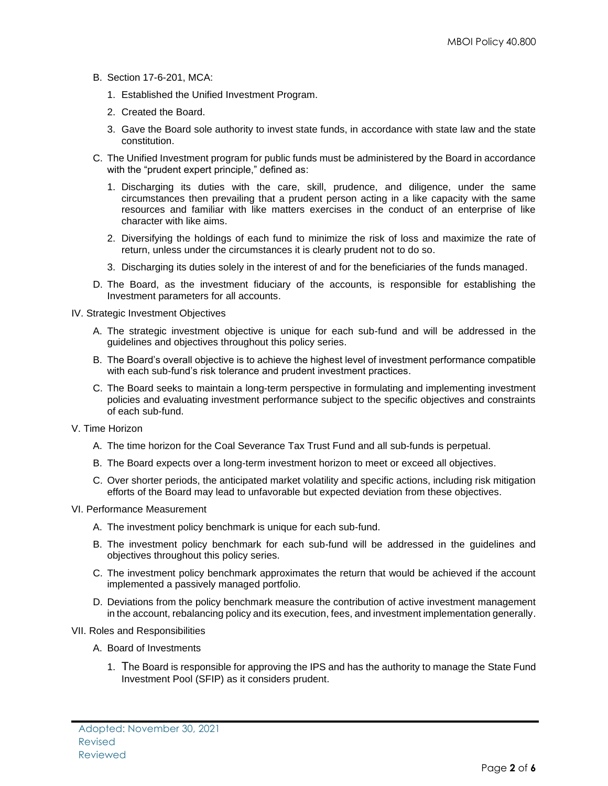- B. Section 17-6-201, MCA:
	- 1. Established the Unified Investment Program.
	- 2. Created the Board.
	- 3. Gave the Board sole authority to invest state funds, in accordance with state law and the state constitution.
- C. The Unified Investment program for public funds must be administered by the Board in accordance with the "prudent expert principle," defined as:
	- 1. Discharging its duties with the care, skill, prudence, and diligence, under the same circumstances then prevailing that a prudent person acting in a like capacity with the same resources and familiar with like matters exercises in the conduct of an enterprise of like character with like aims.
	- 2. Diversifying the holdings of each fund to minimize the risk of loss and maximize the rate of return, unless under the circumstances it is clearly prudent not to do so.
	- 3. Discharging its duties solely in the interest of and for the beneficiaries of the funds managed.
- D. The Board, as the investment fiduciary of the accounts, is responsible for establishing the Investment parameters for all accounts.
- IV. Strategic Investment Objectives
	- A. The strategic investment objective is unique for each sub-fund and will be addressed in the guidelines and objectives throughout this policy series.
	- B. The Board's overall objective is to achieve the highest level of investment performance compatible with each sub-fund's risk tolerance and prudent investment practices.
	- C. The Board seeks to maintain a long-term perspective in formulating and implementing investment policies and evaluating investment performance subject to the specific objectives and constraints of each sub-fund.
- V. Time Horizon
	- A. The time horizon for the Coal Severance Tax Trust Fund and all sub-funds is perpetual.
	- B. The Board expects over a long-term investment horizon to meet or exceed all objectives.
	- C. Over shorter periods, the anticipated market volatility and specific actions, including risk mitigation efforts of the Board may lead to unfavorable but expected deviation from these objectives.
- VI. Performance Measurement
	- A. The investment policy benchmark is unique for each sub-fund.
	- B. The investment policy benchmark for each sub-fund will be addressed in the guidelines and objectives throughout this policy series.
	- C. The investment policy benchmark approximates the return that would be achieved if the account implemented a passively managed portfolio.
	- D. Deviations from the policy benchmark measure the contribution of active investment management in the account, rebalancing policy and its execution, fees, and investment implementation generally.
- VII. Roles and Responsibilities
	- A. Board of Investments
		- 1. The Board is responsible for approving the IPS and has the authority to manage the State Fund Investment Pool (SFIP) as it considers prudent.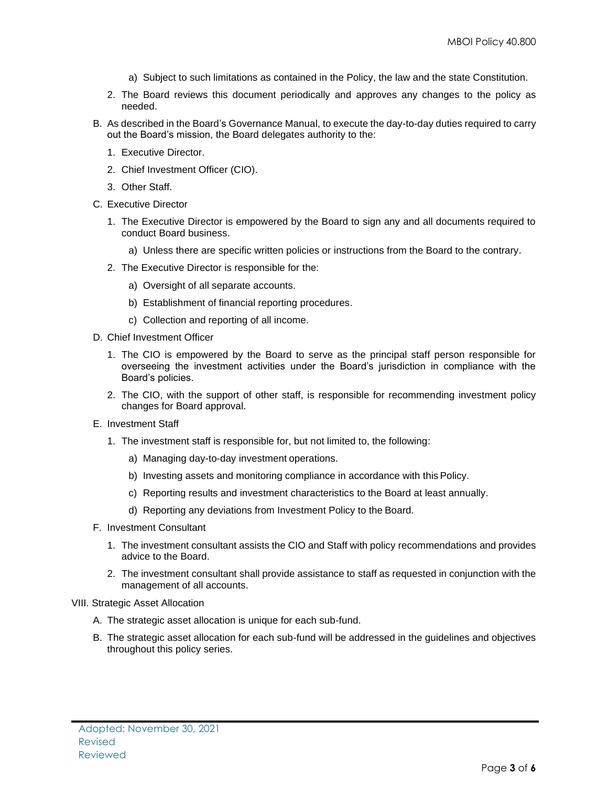- a) Subject to such limitations as contained in the Policy, the law and the state Constitution.
- 2. The Board reviews this document periodically and approves any changes to the policy as needed.
- B. As described in the Board's Governance Manual, to execute the day-to-day duties required to carry out the Board's mission, the Board delegates authority to the:
	- 1. Executive Director.
	- 2. Chief Investment Officer (CIO).
	- 3. Other Staff.
- C. Executive Director
	- 1. The Executive Director is empowered by the Board to sign any and all documents required to conduct Board business.
		- a) Unless there are specific written policies or instructions from the Board to the contrary.
	- 2. The Executive Director is responsible for the:
		- a) Oversight of all separate accounts.
		- b) Establishment of financial reporting procedures.
		- c) Collection and reporting of all income.
- D. Chief Investment Officer
	- 1. The CIO is empowered by the Board to serve as the principal staff person responsible for overseeing the investment activities under the Board's jurisdiction in compliance with the Board's policies.
	- 2. The CIO, with the support of other staff, is responsible for recommending investment policy changes for Board approval.
- E. Investment Staff
	- 1. The investment staff is responsible for, but not limited to, the following:
		- a) Managing day-to-day investment operations.
		- b) Investing assets and monitoring compliance in accordance with this Policy.
		- c) Reporting results and investment characteristics to the Board at least annually.
		- d) Reporting any deviations from Investment Policy to the Board.
- F. Investment Consultant
	- 1. The investment consultant assists the CIO and Staff with policy recommendations and provides advice to the Board.
	- 2. The investment consultant shall provide assistance to staff as requested in conjunction with the management of all accounts.
- VIII. Strategic Asset Allocation
	- A. The strategic asset allocation is unique for each sub-fund.
	- B. The strategic asset allocation for each sub-fund will be addressed in the guidelines and objectives throughout this policy series.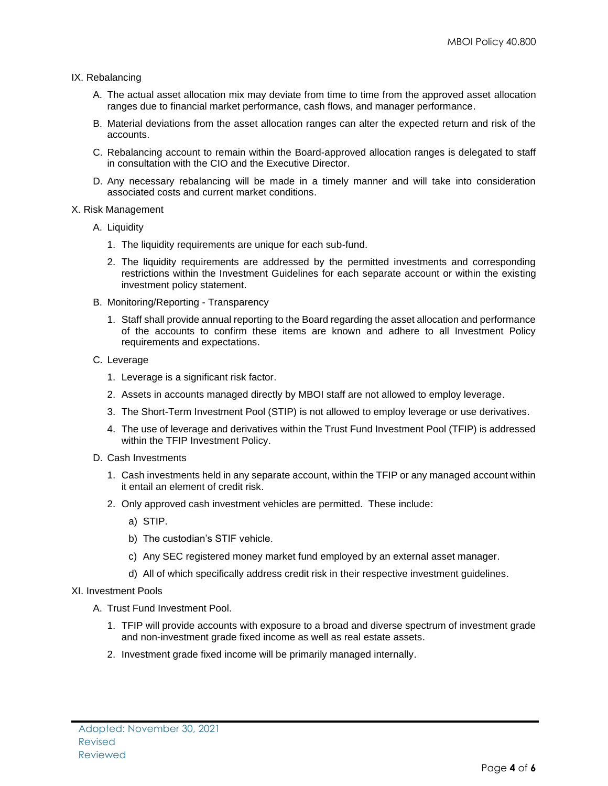### IX. Rebalancing

- A. The actual asset allocation mix may deviate from time to time from the approved asset allocation ranges due to financial market performance, cash flows, and manager performance.
- B. Material deviations from the asset allocation ranges can alter the expected return and risk of the accounts.
- C. Rebalancing account to remain within the Board-approved allocation ranges is delegated to staff in consultation with the CIO and the Executive Director.
- D. Any necessary rebalancing will be made in a timely manner and will take into consideration associated costs and current market conditions.

#### X. Risk Management

- A. Liquidity
	- 1. The liquidity requirements are unique for each sub-fund.
	- 2. The liquidity requirements are addressed by the permitted investments and corresponding restrictions within the Investment Guidelines for each separate account or within the existing investment policy statement.
- B. Monitoring/Reporting Transparency
	- 1. Staff shall provide annual reporting to the Board regarding the asset allocation and performance of the accounts to confirm these items are known and adhere to all Investment Policy requirements and expectations.
- C. Leverage
	- 1. Leverage is a significant risk factor.
	- 2. Assets in accounts managed directly by MBOI staff are not allowed to employ leverage.
	- 3. The Short-Term Investment Pool (STIP) is not allowed to employ leverage or use derivatives.
	- 4. The use of leverage and derivatives within the Trust Fund Investment Pool (TFIP) is addressed within the TFIP Investment Policy.
- D. Cash Investments
	- 1. Cash investments held in any separate account, within the TFIP or any managed account within it entail an element of credit risk.
	- 2. Only approved cash investment vehicles are permitted. These include:
		- a) STIP.
		- b) The custodian's STIF vehicle.
		- c) Any SEC registered money market fund employed by an external asset manager.
		- d) All of which specifically address credit risk in their respective investment guidelines.
- XI. Investment Pools
	- A. Trust Fund Investment Pool.
		- 1. TFIP will provide accounts with exposure to a broad and diverse spectrum of investment grade and non-investment grade fixed income as well as real estate assets.
		- 2. Investment grade fixed income will be primarily managed internally.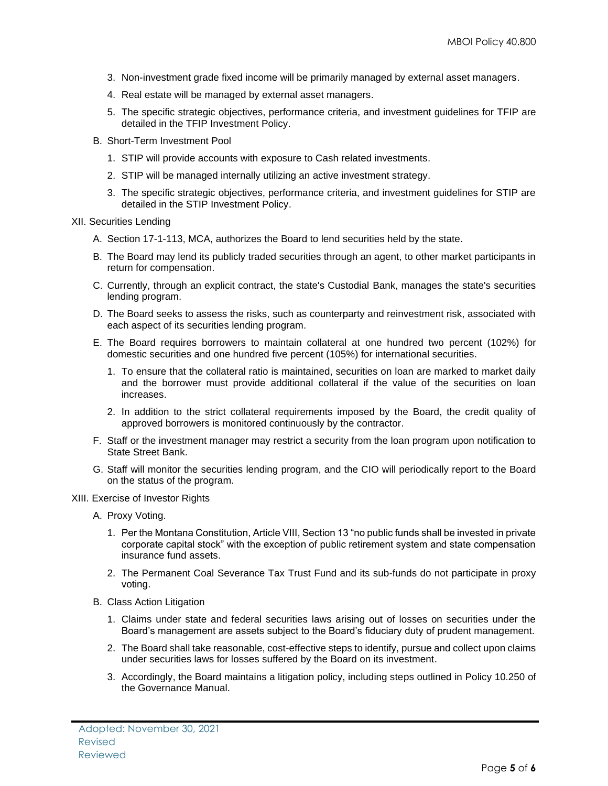- 3. Non-investment grade fixed income will be primarily managed by external asset managers.
- 4. Real estate will be managed by external asset managers.
- 5. The specific strategic objectives, performance criteria, and investment guidelines for TFIP are detailed in the TFIP Investment Policy.
- B. Short-Term Investment Pool
	- 1. STIP will provide accounts with exposure to Cash related investments.
	- 2. STIP will be managed internally utilizing an active investment strategy.
	- 3. The specific strategic objectives, performance criteria, and investment guidelines for STIP are detailed in the STIP Investment Policy.
- XII. Securities Lending
	- A. Section 17-1-113, MCA, authorizes the Board to lend securities held by the state.
	- B. The Board may lend its publicly traded securities through an agent, to other market participants in return for compensation.
	- C. Currently, through an explicit contract, the state's Custodial Bank, manages the state's securities lending program.
	- D. The Board seeks to assess the risks, such as counterparty and reinvestment risk, associated with each aspect of its securities lending program.
	- E. The Board requires borrowers to maintain collateral at one hundred two percent (102%) for domestic securities and one hundred five percent (105%) for international securities.
		- 1. To ensure that the collateral ratio is maintained, securities on loan are marked to market daily and the borrower must provide additional collateral if the value of the securities on loan increases.
		- 2. In addition to the strict collateral requirements imposed by the Board, the credit quality of approved borrowers is monitored continuously by the contractor.
	- F. Staff or the investment manager may restrict a security from the loan program upon notification to State Street Bank.
	- G. Staff will monitor the securities lending program, and the CIO will periodically report to the Board on the status of the program.
- XIII. Exercise of Investor Rights
	- A. Proxy Voting.
		- 1. Per the Montana Constitution, Article VIII, Section 13 "no public funds shall be invested in private corporate capital stock" with the exception of public retirement system and state compensation insurance fund assets.
		- 2. The Permanent Coal Severance Tax Trust Fund and its sub-funds do not participate in proxy voting.
	- B. Class Action Litigation
		- 1. Claims under state and federal securities laws arising out of losses on securities under the Board's management are assets subject to the Board's fiduciary duty of prudent management.
		- 2. The Board shall take reasonable, cost-effective steps to identify, pursue and collect upon claims under securities laws for losses suffered by the Board on its investment.
		- 3. Accordingly, the Board maintains a litigation policy, including steps outlined in Policy 10.250 of the Governance Manual.